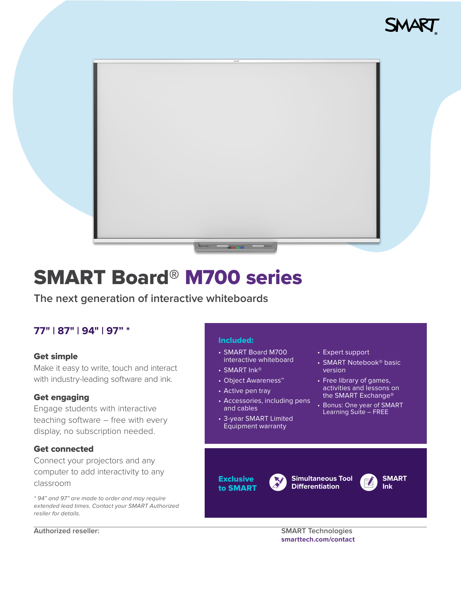



# SMART Board® M700 series

**The next generation of interactive whiteboards**

# **77" | 87" | 94" | 97" \***

## Get simple

Make it easy to write, touch and interact with industry-leading software and ink.

## Get engaging

Engage students with interactive teaching software – free with every display, no subscription needed.

## Get connected

Connect your projectors and any computer to add interactivity to any classroom

\* 94" and 97" are made to order and may require extended lead times. Contact your SMART Authorized resller for details.

## Included:

- SMART Board M700 interactive whiteboard
- SMART Ink®
- Object Awareness™
- Active pen tray

**Exclusive** to SMART

- Accessories, including pens and cables
- 3-year SMART Limited Equipment warranty
- Expert support
- SMART Notebook® basic version
- Free library of games, activities and lessons on the SMART Exchange®
- Bonus: One year of SMART Learning Suite – FREE

**SMART Ink**

#### **Authorized reseller: SMART Technologies [smarttech.com/contact](http://smarttech.com/contact)**

**Simultaneous Tool Differentiation**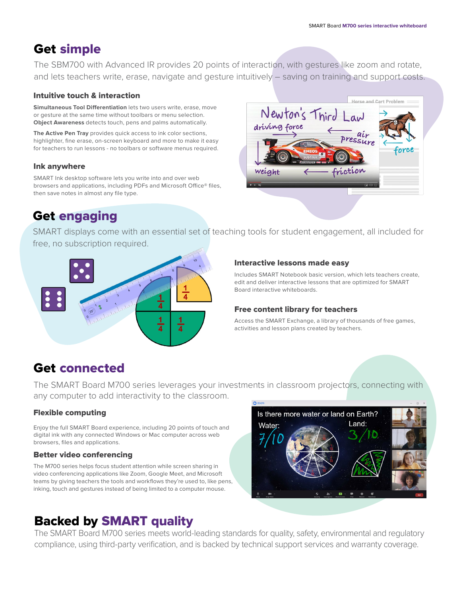Horse and Cart Problem

# Get simple

The SBM700 with Advanced IR provides 20 points of interaction, with gestures like zoom and rotate, and lets teachers write, erase, navigate and gesture intuitively – saving on training and support costs.

#### Intuitive touch & interaction

**Simultaneous Tool Differentiation** lets two users write, erase, move or gesture at the same time without toolbars or menu selection. **Object Awareness** detects touch, pens and palms automatically.

**The Active Pen Tray** provides quick access to ink color sections, highlighter, fine erase, on-screen keyboard and more to make it easy for teachers to run lessons - no toolbars or software menus required.

#### Ink anywhere

SMART Ink desktop software lets you write into and over web browsers and applications, including PDFs and Microsoft Office® files, then save notes in almost any file type.

# Get engaging

Newton's Third 1 driving force air riction weight

SMART displays come with an essential set of teaching tools for student engagement, all included for free, no subscription required.



#### Interactive lessons made easy

Includes SMART Notebook basic version, which lets teachers create, edit and deliver interactive lessons that are optimized for SMART Board interactive whiteboards.

## Free content library for teachers

Access the SMART Exchange, a library of thousands of free games, activities and lesson plans created by teachers.

# Get connected

The SMART Board M700 series leverages your investments in classroom projectors, connecting with any computer to add interactivity to the classroom.

# Flexible computing

Enjoy the full SMART Board experience, including 20 points of touch and digital ink with any connected Windows or Mac computer across web browsers, files and applications.

## Better video conferencing

The M700 series helps focus student attention while screen sharing in video conferencing applications like Zoom, Google Meet, and Microsoft teams by giving teachers the tools and workflows they're used to, like pens, inking, touch and gestures instead of being limited to a computer mouse.



# Backed by SMART quality

The SMART Board M700 series meets world-leading standards for quality, safety, environmental and regulatory compliance, using third-party verification, and is backed by technical support services and warranty coverage.